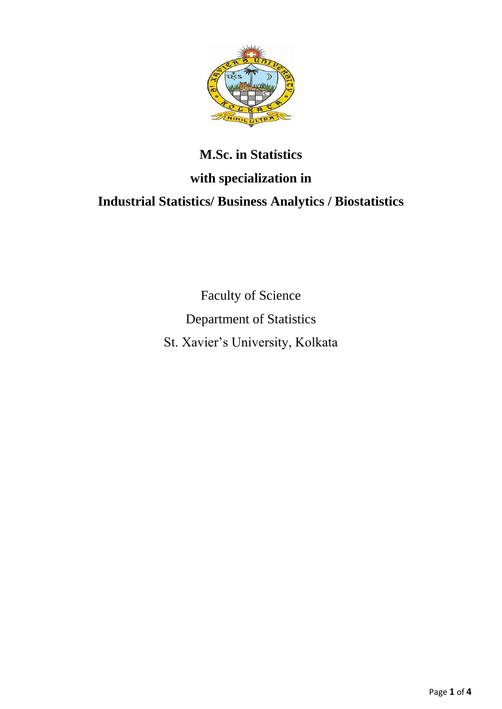

# **M.Sc. in Statistics with specialization in Industrial Statistics/ Business Analytics / Biostatistics**

Faculty of Science Department of Statistics St. Xavier's University, Kolkata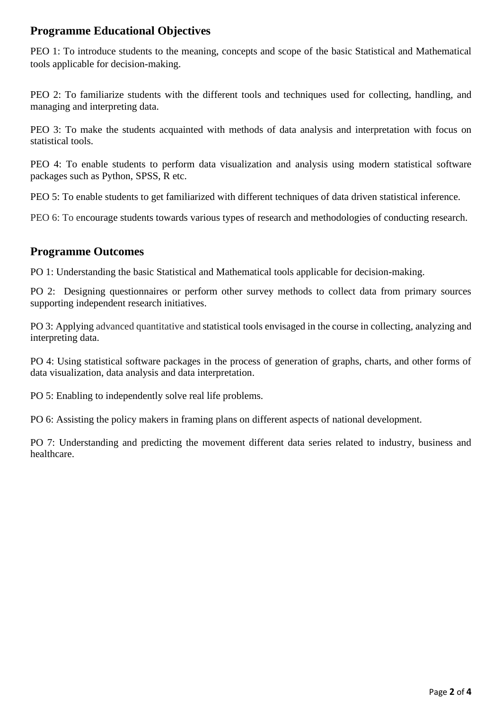## **Programme Educational Objectives**

PEO 1: To introduce students to the meaning, concepts and scope of the basic Statistical and Mathematical tools applicable for decision-making.

PEO 2: To familiarize students with the different tools and techniques used for collecting, handling, and managing and interpreting data.

PEO 3: To make the students acquainted with methods of data analysis and interpretation with focus on statistical tools.

PEO 4: To enable students to perform data visualization and analysis using modern statistical software packages such as Python, SPSS, R etc.

PEO 5: To enable students to get familiarized with different techniques of data driven statistical inference.

PEO 6: To encourage students towards various types of research and methodologies of conducting research.

## **Programme Outcomes**

PO 1: Understanding the basic Statistical and Mathematical tools applicable for decision-making.

PO 2: Designing questionnaires or perform other survey methods to collect data from primary sources supporting independent research initiatives.

PO 3: Applying advanced quantitative and statistical tools envisaged in the course in collecting, analyzing and interpreting data.

PO 4: Using statistical software packages in the process of generation of graphs, charts, and other forms of data visualization, data analysis and data interpretation.

PO 5: Enabling to independently solve real life problems.

PO 6: Assisting the policy makers in framing plans on different aspects of national development.

PO 7: Understanding and predicting the movement different data series related to industry, business and healthcare.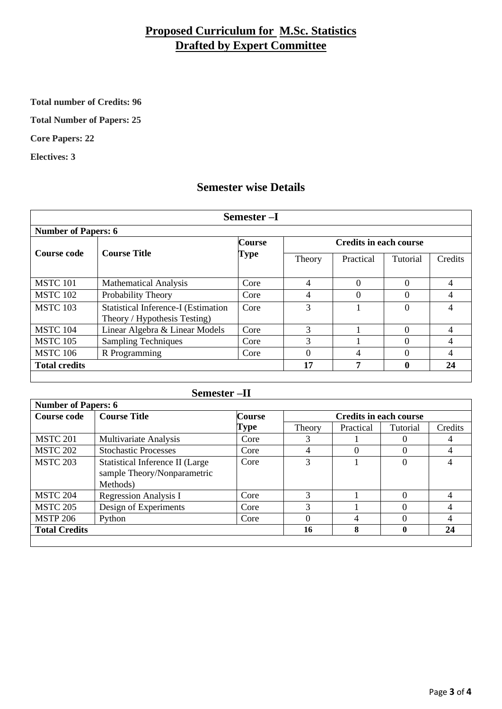# **Proposed Curriculum for M.Sc. Statistics Drafted by Expert Committee**

**Total number of Credits: 96**

**Total Number of Papers: 25**

**Core Papers: 22**

**Electives: 3**

### **Semester wise Details**

| Semester-I                 |                                                                            |                       |                               |           |              |         |
|----------------------------|----------------------------------------------------------------------------|-----------------------|-------------------------------|-----------|--------------|---------|
| <b>Number of Papers: 6</b> |                                                                            |                       |                               |           |              |         |
| <b>Course code</b>         | <b>Course Title</b>                                                        | <b>Course</b><br>Type | <b>Credits in each course</b> |           |              |         |
|                            |                                                                            |                       | Theory                        | Practical | Tutorial     | Credits |
| <b>MSTC 101</b>            | <b>Mathematical Analysis</b>                                               | Core                  | 4                             | 0         | $\Omega$     | 4       |
| <b>MSTC 102</b>            | Probability Theory                                                         | Core                  | 4                             | 0         | 0            | 4       |
| <b>MSTC 103</b>            | <b>Statistical Inference-I (Estimation</b><br>Theory / Hypothesis Testing) | Core                  | 3                             |           | $\Omega$     |         |
| <b>MSTC 104</b>            | Linear Algebra & Linear Models                                             | Core                  | 3                             |           | $\Omega$     | 4       |
| <b>MSTC 105</b>            | <b>Sampling Techniques</b>                                                 | Core                  | 3                             |           | 0            | 4       |
| <b>MSTC 106</b>            | R Programming                                                              | Core                  | $\Omega$                      | 4         | 0            | 4       |
| <b>Total credits</b>       |                                                                            |                       | 17                            | 7         | $\mathbf{0}$ | 24      |
|                            |                                                                            |                       |                               |           |              |         |

| $-{\rm II}$<br>Semester |  |
|-------------------------|--|
|                         |  |

| <b>Number of Papers: 6</b> |                                                                            |               |                               |           |          |         |
|----------------------------|----------------------------------------------------------------------------|---------------|-------------------------------|-----------|----------|---------|
| Course code                | <b>Course Title</b>                                                        | <b>Course</b> | <b>Credits in each course</b> |           |          |         |
|                            |                                                                            | Type          | Theory                        | Practical | Tutorial | Credits |
| <b>MSTC 201</b>            | Multivariate Analysis                                                      | Core          |                               |           |          |         |
| <b>MSTC 202</b>            | <b>Stochastic Processes</b>                                                | Core          | 4                             |           |          |         |
| <b>MSTC 203</b>            | Statistical Inference II (Large<br>sample Theory/Nonparametric<br>Methods) | Core          | 3                             |           | 0        |         |
| <b>MSTC 204</b>            | <b>Regression Analysis I</b>                                               | Core          |                               |           |          |         |
| <b>MSTC 205</b>            | Design of Experiments                                                      | Core          | 3                             |           | $\Omega$ |         |
| <b>MSTP 206</b>            | Python                                                                     | Core          | $\mathbf{\Omega}$             | 4         | 0        |         |
| <b>Total Credits</b>       |                                                                            |               | 16                            | 8         | 0        | 24      |
|                            |                                                                            |               |                               |           |          |         |

 $\overline{\phantom{0}}$